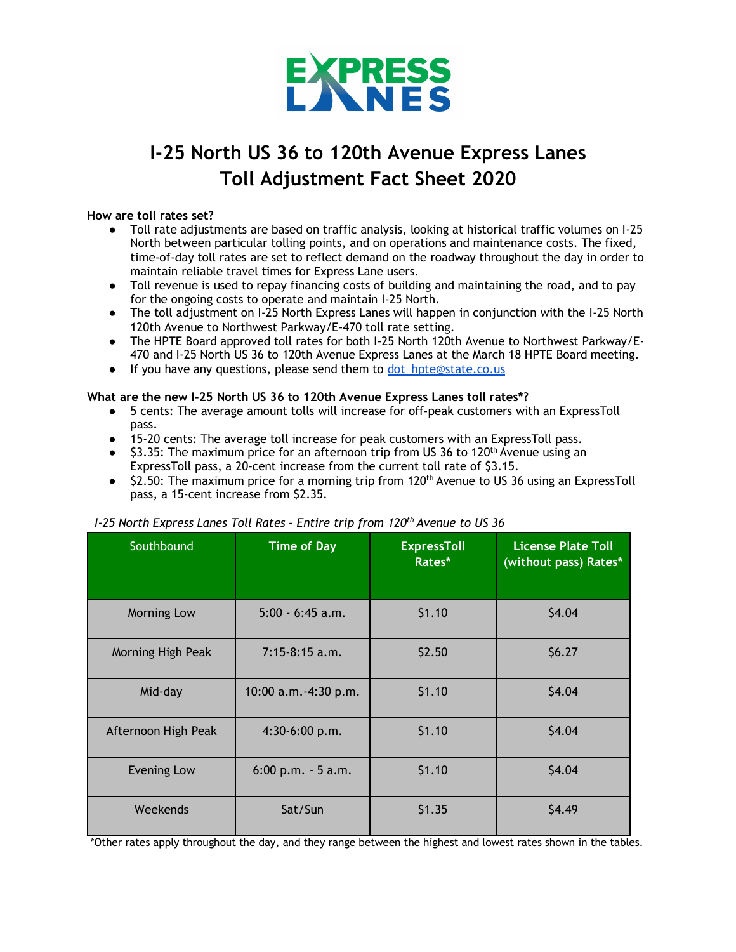

# **I-25 North US 36 to 120th Avenue Express Lanes Toll Adjustment Fact Sheet 2020**

#### **How are toll rates set?**

- Toll rate adjustments are based on traffic analysis, looking at historical traffic volumes on I-25 North between particular tolling points, and on operations and maintenance costs. The fixed, time-of-day toll rates are set to reflect demand on the roadway throughout the day in order to maintain reliable travel times for Express Lane users.
- Toll revenue is used to repay financing costs of building and maintaining the road, and to pay for the ongoing costs to operate and maintain I-25 North.
- The toll adjustment on I-25 North Express Lanes will happen in conjunction with the I-25 North 120th Avenue to Northwest Parkway/E-470 toll rate setting.
- The HPTE Board approved toll rates for both I-25 North 120th Avenue to Northwest Parkway/E-470 and I-25 North US 36 to 120th Avenue Express Lanes at the March 18 HPTE Board meeting.
- If you have any questions, please send them to dot\_hpte@state.co.us

#### **What are the new I-25 North US 36 to 120th Avenue Express Lanes toll rates\*?**

- 5 cents: The average amount tolls will increase for off-peak customers with an ExpressToll pass.
- 15-20 cents: The average toll increase for peak customers with an ExpressToll pass.
- $\bullet$  \$3.35: The maximum price for an afternoon trip from US 36 to 120<sup>th</sup> Avenue using an ExpressToll pass, a 20-cent increase from the current toll rate of \$3.15.
- \$2.50: The maximum price for a morning trip from 120<sup>th</sup> Avenue to US 36 using an ExpressToll pass, a 15-cent increase from \$2.35.

## *I-25 North Express Lanes Toll Rates – Entire trip from 120th Avenue to US 36*

| Southbound          | <b>Time of Day</b>        | <b>ExpressToll</b><br>Rates* | <b>License Plate Toll</b><br>(without pass) Rates* |
|---------------------|---------------------------|------------------------------|----------------------------------------------------|
| Morning Low         | $5:00 - 6:45$ a.m.        | \$1.10                       | \$4.04                                             |
| Morning High Peak   | $7:15-8:15$ a.m.          | \$2.50                       | \$6.27                                             |
| Mid-day             | $10:00$ a.m. $-4:30$ p.m. | \$1.10                       | \$4.04                                             |
| Afternoon High Peak | $4:30-6:00 p.m.$          | \$1.10                       | \$4.04                                             |
| <b>Evening Low</b>  | $6:00$ p.m. $-5$ a.m.     | \$1.10                       | \$4.04                                             |
| Weekends            | Sat/Sun                   | \$1.35                       | \$4.49                                             |

\*Other rates apply throughout the day, and they range between the highest and lowest rates shown in the tables.